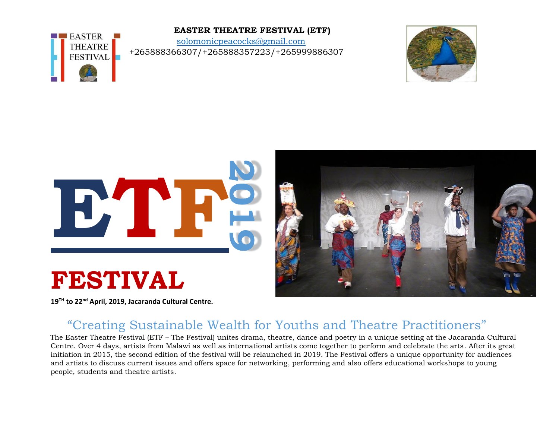### **EASTER THEATRE FESTIVAL (ETF)**

[solomonicpeacocks@gmail.com](mailto:solomonicpeacocks@gmail.com) +265888366307/+265888357223/+265999886307





**19TH to 22nd April, 2019, Jacaranda Cultural Centre.**

**EASTER THEATRE FESTIVAL** 

## "Creating Sustainable Wealth for Youths and Theatre Practitioners"

The Easter Theatre Festival (ETF – The Festival) unites drama, theatre, dance and poetry in a unique setting at the Jacaranda Cultural Centre. Over 4 days, artists from Malawi as well as international artists come together to perform and celebrate the arts. After its great initiation in 2015, the second edition of the festival will be relaunched in 2019. The Festival offers a unique opportunity for audiences and artists to discuss current issues and offers space for networking, performing and also offers educational workshops to young people, students and theatre artists.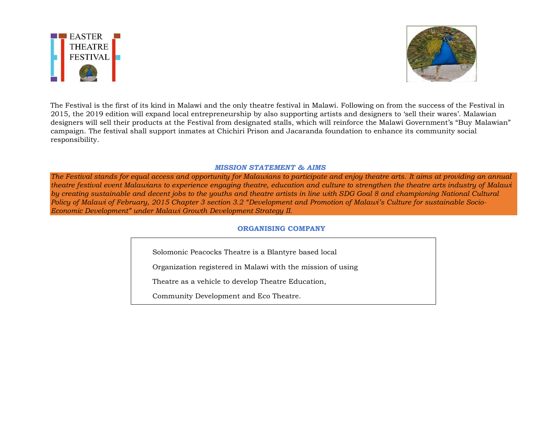



The Festival is the first of its kind in Malawi and the only theatre festival in Malawi. Following on from the success of the Festival in 2015, the 2019 edition will expand local entrepreneurship by also supporting artists and designers to 'sell their wares'. Malawian designers will sell their products at the Festival from designated stalls, which will reinforce the Malawi Government's "Buy Malawian" campaign. The festival shall support inmates at Chichiri Prison and Jacaranda foundation to enhance its community social responsibility.

#### *MISSION STATEMENT & AIMS*

*The Festival stands for equal access and opportunity for Malawians to participate and enjoy theatre arts. It aims at providing an annual theatre festival event Malawians to experience engaging theatre, education and culture to strengthen the theatre arts industry of Malawi by creating sustainable and decent jobs to the youths and theatre artists in line with SDG Goal 8 and championing National Cultural Policy of Malawi of February, 2015 Chapter 3 section 3.2 "Development and Promotion of Malawi's Culture for sustainable Socio-Economic Development" under Malawi Growth Development Strategy II.*

#### **ORGANISING COMPANY**

Solomonic Peacocks Theatre is a Blantyre based local

Organization registered in Malawi with the mission of using

Theatre as a vehicle to develop Theatre Education,

Community Development and Eco Theatre.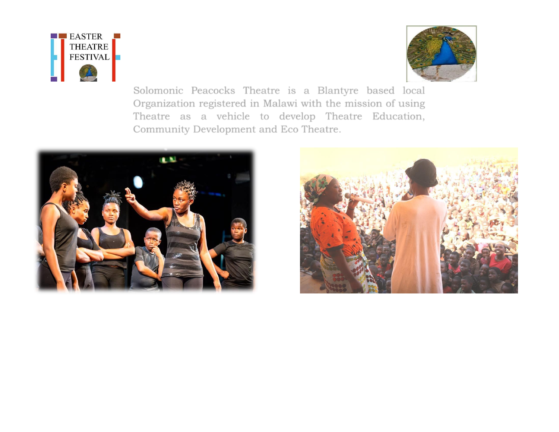



Solomonic Peacocks Theatre is a Blantyre based local Organization registered in Malawi with the mission of using Theatre as a vehicle to develop Theatre Education, Community Development and Eco Theatre.



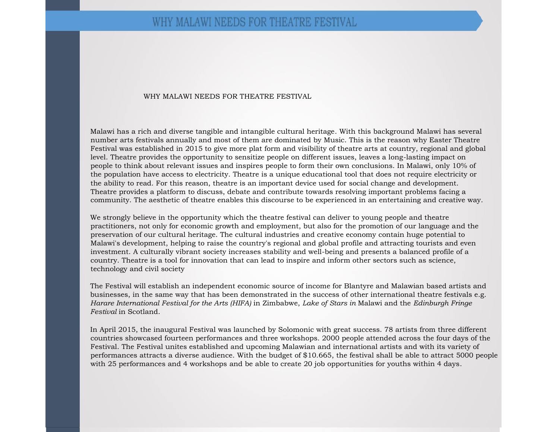#### WHY MALAWI NEEDS FOR THEATRE FESTIVAL

Malawi has a rich and diverse tangible and intangible cultural heritage. With this background Malawi has several number arts festivals annually and most of them are dominated by Music. This is the reason why Easter Theatre Festival was established in 2015 to give more plat form and visibility of theatre arts at country, regional and global level. Theatre provides the opportunity to sensitize people on different issues, leaves a long-lasting impact on people to think about relevant issues and inspires people to form their own conclusions. In Malawi, only 10% of the population have access to electricity. Theatre is a unique educational tool that does not require electricity or the ability to read. For this reason, theatre is an important device used for social change and development. Theatre provides a platform to discuss, debate and contribute towards resolving important problems facing a community. The aesthetic of theatre enables this discourse to be experienced in an entertaining and creative way.

We strongly believe in the opportunity which the theatre festival can deliver to young people and theatre practitioners, not only for economic growth and employment, but also for the promotion of our language and the preservation of our cultural heritage. The cultural industries and creative economy contain huge potential to Malawi's development, helping to raise the country's regional and global profile and attracting tourists and even investment. A culturally vibrant society increases stability and well-being and presents a balanced profile of a country. Theatre is a tool for innovation that can lead to inspire and inform other sectors such as science, technology and civil society

The Festival will establish an independent economic source of income for Blantyre and Malawian based artists and businesses, in the same way that has been demonstrated in the success of other international theatre festivals e.g. *Harare International Festival for the Arts (HIFA)* in Zimbabwe, *Lake of Stars in* Malawi and the *Edinburgh Fringe Festival* in Scotland.

In April 2015, the inaugural Festival was launched by Solomonic with great success. 78 artists from three different countries showcased fourteen performances and three workshops. 2000 people attended across the four days of the Festival. The Festival unites established and upcoming Malawian and international artists and with its variety of performances attracts a diverse audience. With the budget of \$10.665, the festival shall be able to attract 5000 people with 25 performances and 4 workshops and be able to create 20 job opportunities for youths within 4 days.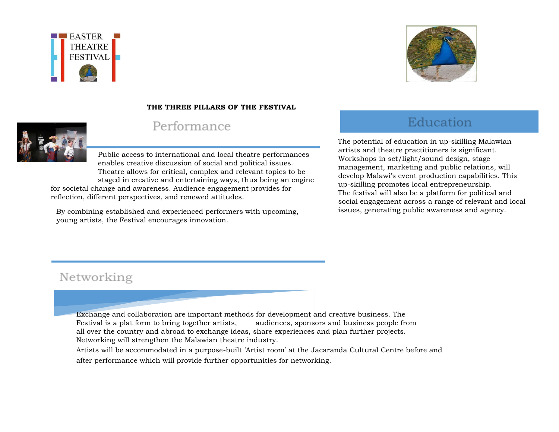



### **THE THREE PILLARS OF THE FESTIVAL**



## Performance

Public access to international and local theatre performances enables creative discussion of social and political issues. Theatre allows for critical, complex and relevant topics to be staged in creative and entertaining ways, thus being an engine

for societal change and awareness. Audience engagement provides for reflection, different perspectives, and renewed attitudes.

By combining established and experienced performers with upcoming, young artists, the Festival encourages innovation.

# Education

The potential of education in up-skilling Malawian artists and theatre practitioners is significant. Workshops in set/light/sound design, stage management, marketing and public relations, will develop Malawi's event production capabilities. This up-skilling promotes local entrepreneurship. The festival will also be a platform for political and social engagement across a range of relevant and local issues, generating public awareness and agency.

# Networking

Exchange and collaboration are important methods for development and creative business. The Festival is a plat form to bring together artists, audiences, sponsors and business people from all over the country and abroad to exchange ideas, share experiences and plan further projects. Networking will strengthen the Malawian theatre industry.

Artists will be accommodated in a purpose-built 'Artist room' at the Jacaranda Cultural Centre before and after performance which will provide further opportunities for networking.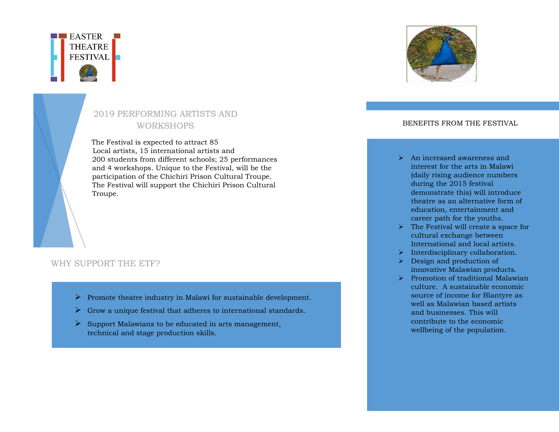

## 2019 PERFORMING ARTISTS AND WORKSHOPS

## The Festival is expected to attract 85

Local artists, 15 international artists and 200 students from different schools; 25 performances and 4 workshops. Unique to the Festival, will be the participation of the Chichiri Prison Cultural Troupe. The Festival will support the Chichiri Prison Cultural Troupe.

### WHY SUPPORT THE ETF?

- $\triangleright$  Promote theatre industry in Malawi for sustainable development.
- $\triangleright$  Grow a unique festival that adheres to international standards.
- $\triangleright$  Support Malawians to be educated in arts management, technical and stage production skills.



### BENEFITS FROM THE FESTIVAL

- $\triangleright$  An increased awareness and interest for the arts in Malawi (daily rising audience numbers during the 2015 festival demonstrate this) will introduce theatre as an alternative form of education, entertainment and career path for the youths.
- $\triangleright$  The Festival will create a space for cultural exchange between International and local artists.
- $\triangleright$  Interdisciplinary collaboration.
- $\triangleright$  Design and production of innovative Malawian products.
- $\triangleright$  Promotion of traditional Malawian culture. A sustainable economic source of income for Blantyre as well as Malawian based artists and businesses. This will contribute to the economic wellbeing of the population.